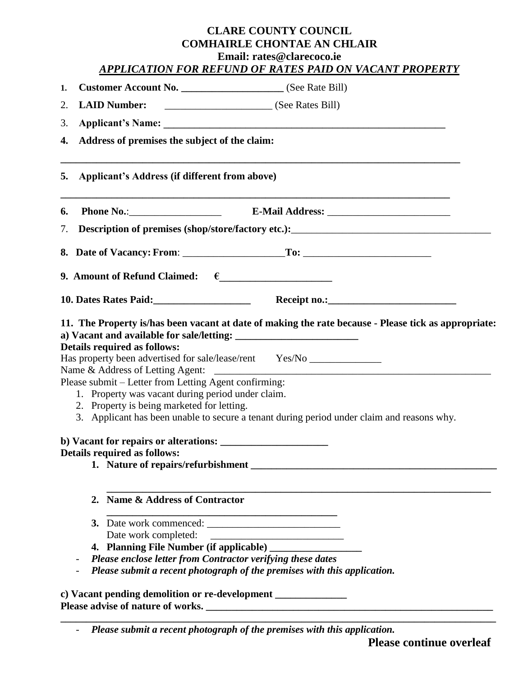## **CLARE COUNTY COUNCIL COMHAIRLE CHONTAE AN CHLAIR Email: rates@clarecoco.ie** *APPLICATION FOR REFUND OF RATES PAID ON VACANT PROPERTY*

| 1. | Customer Account No. __________________________ (See Rate Bill)                                                                                                                                                                                                                                                                                         |                                                                                                                                                                                                    |
|----|---------------------------------------------------------------------------------------------------------------------------------------------------------------------------------------------------------------------------------------------------------------------------------------------------------------------------------------------------------|----------------------------------------------------------------------------------------------------------------------------------------------------------------------------------------------------|
| 2. | <b>LAID Number:</b><br>(See Rates Bill)                                                                                                                                                                                                                                                                                                                 |                                                                                                                                                                                                    |
| 3. |                                                                                                                                                                                                                                                                                                                                                         |                                                                                                                                                                                                    |
| 4. | Address of premises the subject of the claim:                                                                                                                                                                                                                                                                                                           |                                                                                                                                                                                                    |
| 5. | Applicant's Address (if different from above)                                                                                                                                                                                                                                                                                                           |                                                                                                                                                                                                    |
| 6. |                                                                                                                                                                                                                                                                                                                                                         |                                                                                                                                                                                                    |
| 7. |                                                                                                                                                                                                                                                                                                                                                         | Description of premises (shop/store/factory etc.):<br><u>Description</u> of premises (shop/store/factory etc.):                                                                                    |
|    |                                                                                                                                                                                                                                                                                                                                                         |                                                                                                                                                                                                    |
|    |                                                                                                                                                                                                                                                                                                                                                         |                                                                                                                                                                                                    |
|    |                                                                                                                                                                                                                                                                                                                                                         | 10. Dates Rates Paid: Receipt no.: Receipt no.: Receipt no.: Receipt no.: Receipt no.: Receipt no.: Receipt no.:                                                                                   |
|    | <b>Details required as follows:</b><br>Has property been advertised for sale/lease/rent Yes/No ________________________<br>Name & Address of Letting Agent:<br>Please submit - Letter from Letting Agent confirming:<br>1. Property was vacant during period under claim.<br>2. Property is being marketed for letting.<br>Details required as follows: | 11. The Property is/has been vacant at date of making the rate because - Please tick as appropriate:<br>3. Applicant has been unable to secure a tenant during period under claim and reasons why. |
|    |                                                                                                                                                                                                                                                                                                                                                         |                                                                                                                                                                                                    |
|    | <b>Name &amp; Address of Contractor</b><br>2.                                                                                                                                                                                                                                                                                                           |                                                                                                                                                                                                    |
|    | Date work completed:<br>Please enclose letter from Contractor verifying these dates<br>Please submit a recent photograph of the premises with this application.                                                                                                                                                                                         |                                                                                                                                                                                                    |
|    | c) Vacant pending demolition or re-development _________________________________                                                                                                                                                                                                                                                                        |                                                                                                                                                                                                    |

- *Please submit a recent photograph of the premises with this application.*

**\_\_\_\_\_\_\_\_\_\_\_\_\_\_\_\_\_\_\_\_\_\_\_\_\_\_\_\_\_\_\_\_\_\_\_\_\_\_\_\_\_\_\_\_\_\_\_\_\_\_\_\_\_\_\_\_\_\_\_\_\_\_\_\_\_\_\_\_\_\_\_\_\_\_\_\_\_\_\_\_\_\_\_\_\_**